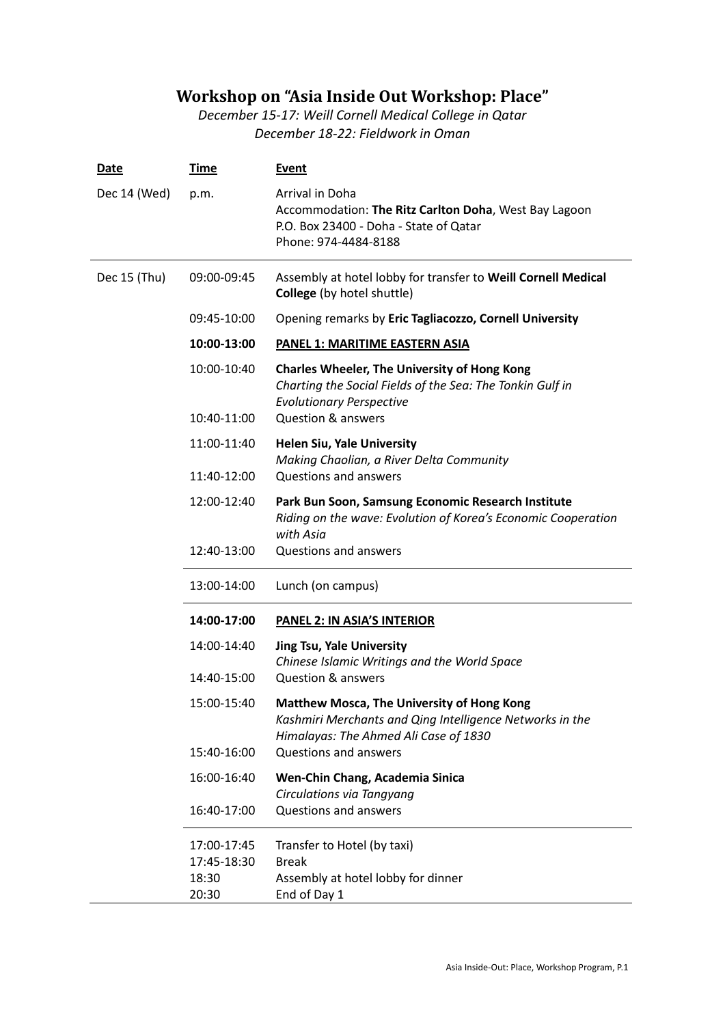## **Workshop on "Asia Inside Out Workshop: Place"**

*December 15-17: Weill Cornell Medical College in Qatar December 18-22: Fieldwork in Oman*

| <b>Date</b>  | <u>Time</u>                         | <b>Event</b>                                                                                                                                           |
|--------------|-------------------------------------|--------------------------------------------------------------------------------------------------------------------------------------------------------|
| Dec 14 (Wed) | p.m.                                | Arrival in Doha<br>Accommodation: The Ritz Carlton Doha, West Bay Lagoon<br>P.O. Box 23400 - Doha - State of Qatar<br>Phone: 974-4484-8188             |
| Dec 15 (Thu) | 09:00-09:45                         | Assembly at hotel lobby for transfer to Weill Cornell Medical<br>College (by hotel shuttle)                                                            |
|              | 09:45-10:00                         | Opening remarks by Eric Tagliacozzo, Cornell University                                                                                                |
|              | 10:00-13:00                         | <b>PANEL 1: MARITIME EASTERN ASIA</b>                                                                                                                  |
|              | 10:00-10:40                         | <b>Charles Wheeler, The University of Hong Kong</b><br>Charting the Social Fields of the Sea: The Tonkin Gulf in<br><b>Evolutionary Perspective</b>    |
|              | 10:40-11:00                         | <b>Question &amp; answers</b>                                                                                                                          |
|              | 11:00-11:40<br>11:40-12:00          | <b>Helen Siu, Yale University</b><br>Making Chaolian, a River Delta Community<br><b>Questions and answers</b>                                          |
|              | 12:00-12:40                         | Park Bun Soon, Samsung Economic Research Institute<br>Riding on the wave: Evolution of Korea's Economic Cooperation<br>with Asia                       |
|              | 12:40-13:00                         | Questions and answers                                                                                                                                  |
|              | 13:00-14:00                         | Lunch (on campus)                                                                                                                                      |
|              | 14:00-17:00                         | <b>PANEL 2: IN ASIA'S INTERIOR</b>                                                                                                                     |
|              | 14:00-14:40                         | <b>Jing Tsu, Yale University</b><br>Chinese Islamic Writings and the World Space                                                                       |
|              | 14:40-15:00                         | <b>Question &amp; answers</b>                                                                                                                          |
|              | 15:00-15:40                         | <b>Matthew Mosca, The University of Hong Kong</b><br>Kashmiri Merchants and Qing Intelligence Networks in the<br>Himalayas: The Ahmed Ali Case of 1830 |
|              | 15:40-16:00                         | Questions and answers                                                                                                                                  |
|              | 16:00-16:40                         | Wen-Chin Chang, Academia Sinica<br>Circulations via Tangyang                                                                                           |
|              | 16:40-17:00                         | <b>Questions and answers</b>                                                                                                                           |
|              | 17:00-17:45<br>17:45-18:30<br>18:30 | Transfer to Hotel (by taxi)<br><b>Break</b><br>Assembly at hotel lobby for dinner                                                                      |
|              | 20:30                               | End of Day 1                                                                                                                                           |